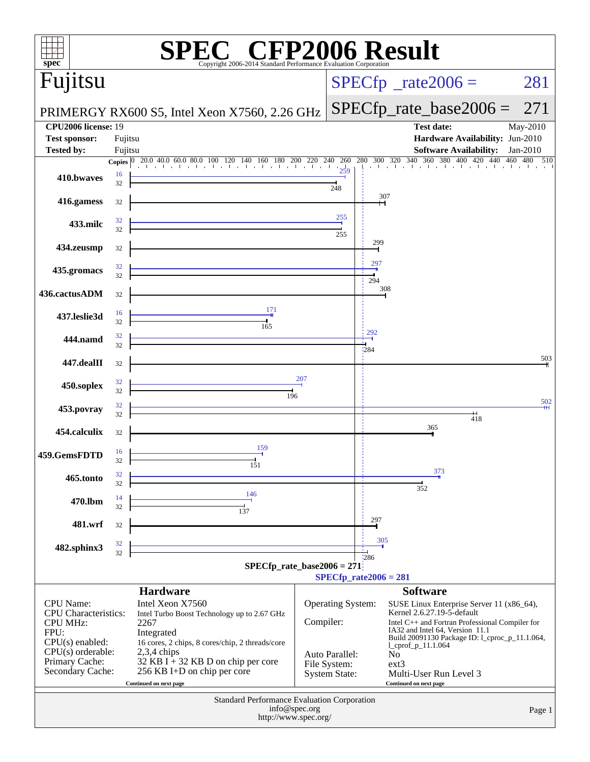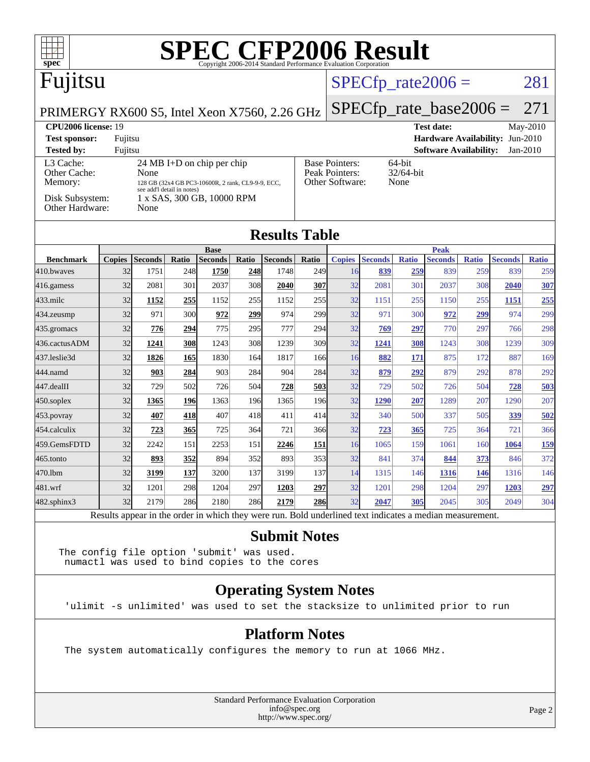

**[Submit Notes](http://www.spec.org/auto/cpu2006/Docs/result-fields.html#SubmitNotes)**

[470.lbm](http://www.spec.org/auto/cpu2006/Docs/470.lbm.html) 32 **[3199](http://www.spec.org/auto/cpu2006/Docs/result-fields.html#Median) [137](http://www.spec.org/auto/cpu2006/Docs/result-fields.html#Median)** 3200 137 3199 137 14 1315 146 **[1316](http://www.spec.org/auto/cpu2006/Docs/result-fields.html#Median) [146](http://www.spec.org/auto/cpu2006/Docs/result-fields.html#Median)** 1316 146 [481.wrf](http://www.spec.org/auto/cpu2006/Docs/481.wrf.html) 32 1201 298 1204 297 **[1203](http://www.spec.org/auto/cpu2006/Docs/result-fields.html#Median) [297](http://www.spec.org/auto/cpu2006/Docs/result-fields.html#Median)** 32 1201 298 1204 297 **[1203](http://www.spec.org/auto/cpu2006/Docs/result-fields.html#Median) [297](http://www.spec.org/auto/cpu2006/Docs/result-fields.html#Median)** [482.sphinx3](http://www.spec.org/auto/cpu2006/Docs/482.sphinx3.html) 32 2179 286 2180 286 **[2179](http://www.spec.org/auto/cpu2006/Docs/result-fields.html#Median) [286](http://www.spec.org/auto/cpu2006/Docs/result-fields.html#Median)** 32 **[2047](http://www.spec.org/auto/cpu2006/Docs/result-fields.html#Median) [305](http://www.spec.org/auto/cpu2006/Docs/result-fields.html#Median)** 2045 305 2049 304 Results appear in the [order in which they were run.](http://www.spec.org/auto/cpu2006/Docs/result-fields.html#RunOrder) Bold underlined text [indicates a median measurement.](http://www.spec.org/auto/cpu2006/Docs/result-fields.html#Median)

The config file option 'submit' was used. numactl was used to bind copies to the cores

### **[Operating System Notes](http://www.spec.org/auto/cpu2006/Docs/result-fields.html#OperatingSystemNotes)**

'ulimit -s unlimited' was used to set the stacksize to unlimited prior to run

### **[Platform Notes](http://www.spec.org/auto/cpu2006/Docs/result-fields.html#PlatformNotes)**

The system automatically configures the memory to run at 1066 MHz.

Standard Performance Evaluation Corporation [info@spec.org](mailto:info@spec.org) <http://www.spec.org/>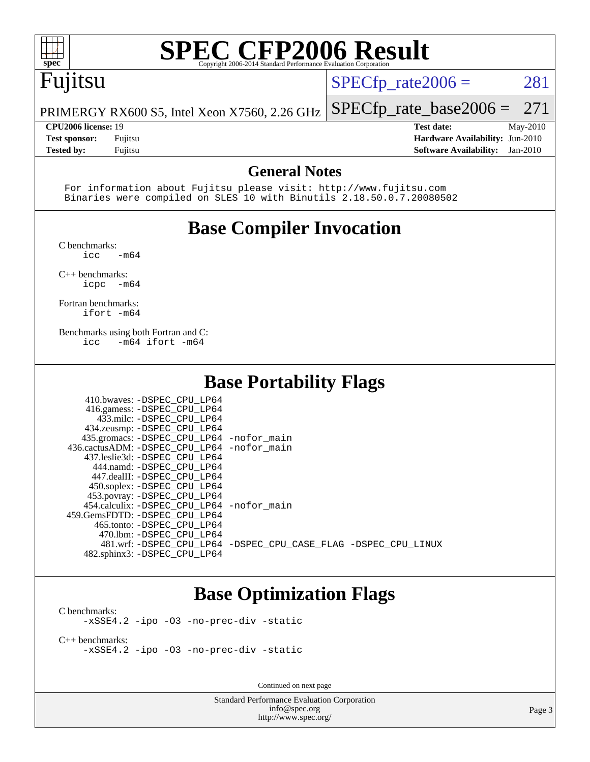## **[SPEC CFP2006 Result](http://www.spec.org/auto/cpu2006/Docs/result-fields.html#SPECCFP2006Result)**

### Fujitsu

 $SPECTp_rate2006 = 281$ 

PRIMERGY RX600 S5, Intel Xeon X7560, 2.26 GHz [SPECfp\\_rate\\_base2006 =](http://www.spec.org/auto/cpu2006/Docs/result-fields.html#SPECfpratebase2006) 271

**[Tested by:](http://www.spec.org/auto/cpu2006/Docs/result-fields.html#Testedby)** Fujitsu **[Software Availability:](http://www.spec.org/auto/cpu2006/Docs/result-fields.html#SoftwareAvailability)** Jan-2010

**[CPU2006 license:](http://www.spec.org/auto/cpu2006/Docs/result-fields.html#CPU2006license)** 19 **[Test date:](http://www.spec.org/auto/cpu2006/Docs/result-fields.html#Testdate)** May-2010 **[Test sponsor:](http://www.spec.org/auto/cpu2006/Docs/result-fields.html#Testsponsor)** Fujitsu **[Hardware Availability:](http://www.spec.org/auto/cpu2006/Docs/result-fields.html#HardwareAvailability)** Jun-2010

### **[General Notes](http://www.spec.org/auto/cpu2006/Docs/result-fields.html#GeneralNotes)**

 For information about Fujitsu please visit: <http://www.fujitsu.com> Binaries were compiled on SLES 10 with Binutils 2.18.50.0.7.20080502

### **[Base Compiler Invocation](http://www.spec.org/auto/cpu2006/Docs/result-fields.html#BaseCompilerInvocation)**

[C benchmarks](http://www.spec.org/auto/cpu2006/Docs/result-fields.html#Cbenchmarks):

 $\text{icc}$   $-\text{m64}$ [C++ benchmarks:](http://www.spec.org/auto/cpu2006/Docs/result-fields.html#CXXbenchmarks)

[icpc -m64](http://www.spec.org/cpu2006/results/res2010q3/cpu2006-20100702-12040.flags.html#user_CXXbase_intel_icpc_64bit_bedb90c1146cab66620883ef4f41a67e)

[Fortran benchmarks](http://www.spec.org/auto/cpu2006/Docs/result-fields.html#Fortranbenchmarks): [ifort -m64](http://www.spec.org/cpu2006/results/res2010q3/cpu2006-20100702-12040.flags.html#user_FCbase_intel_ifort_64bit_ee9d0fb25645d0210d97eb0527dcc06e)

[Benchmarks using both Fortran and C](http://www.spec.org/auto/cpu2006/Docs/result-fields.html#BenchmarksusingbothFortranandC): [icc -m64](http://www.spec.org/cpu2006/results/res2010q3/cpu2006-20100702-12040.flags.html#user_CC_FCbase_intel_icc_64bit_0b7121f5ab7cfabee23d88897260401c) [ifort -m64](http://www.spec.org/cpu2006/results/res2010q3/cpu2006-20100702-12040.flags.html#user_CC_FCbase_intel_ifort_64bit_ee9d0fb25645d0210d97eb0527dcc06e)

### **[Base Portability Flags](http://www.spec.org/auto/cpu2006/Docs/result-fields.html#BasePortabilityFlags)**

| 410.bwaves: -DSPEC CPU LP64                |                                                                |
|--------------------------------------------|----------------------------------------------------------------|
| 416.gamess: -DSPEC_CPU_LP64                |                                                                |
| 433.milc: -DSPEC CPU LP64                  |                                                                |
| 434.zeusmp: -DSPEC_CPU_LP64                |                                                                |
| 435.gromacs: -DSPEC_CPU_LP64 -nofor_main   |                                                                |
| 436.cactusADM: -DSPEC_CPU_LP64 -nofor main |                                                                |
| 437.leslie3d: -DSPEC CPU LP64              |                                                                |
| 444.namd: -DSPEC CPU LP64                  |                                                                |
| 447.dealII: -DSPEC_CPU LP64                |                                                                |
| 450.soplex: -DSPEC CPU LP64                |                                                                |
| 453.povray: -DSPEC_CPU_LP64                |                                                                |
| 454.calculix: -DSPEC_CPU_LP64 -nofor_main  |                                                                |
| 459.GemsFDTD: -DSPEC CPU LP64              |                                                                |
| 465.tonto: -DSPEC CPU LP64                 |                                                                |
| 470.1bm: -DSPEC CPU LP64                   |                                                                |
|                                            | 481.wrf: -DSPEC CPU_LP64 -DSPEC_CPU_CASE_FLAG -DSPEC_CPU_LINUX |
| 482.sphinx3: -DSPEC_CPU_LP64               |                                                                |

### **[Base Optimization Flags](http://www.spec.org/auto/cpu2006/Docs/result-fields.html#BaseOptimizationFlags)**

[C benchmarks](http://www.spec.org/auto/cpu2006/Docs/result-fields.html#Cbenchmarks): [-xSSE4.2](http://www.spec.org/cpu2006/results/res2010q3/cpu2006-20100702-12040.flags.html#user_CCbase_f-xSSE42_f91528193cf0b216347adb8b939d4107) [-ipo](http://www.spec.org/cpu2006/results/res2010q3/cpu2006-20100702-12040.flags.html#user_CCbase_f-ipo) [-O3](http://www.spec.org/cpu2006/results/res2010q3/cpu2006-20100702-12040.flags.html#user_CCbase_f-O3) [-no-prec-div](http://www.spec.org/cpu2006/results/res2010q3/cpu2006-20100702-12040.flags.html#user_CCbase_f-no-prec-div) [-static](http://www.spec.org/cpu2006/results/res2010q3/cpu2006-20100702-12040.flags.html#user_CCbase_f-static)

[C++ benchmarks:](http://www.spec.org/auto/cpu2006/Docs/result-fields.html#CXXbenchmarks) [-xSSE4.2](http://www.spec.org/cpu2006/results/res2010q3/cpu2006-20100702-12040.flags.html#user_CXXbase_f-xSSE42_f91528193cf0b216347adb8b939d4107) [-ipo](http://www.spec.org/cpu2006/results/res2010q3/cpu2006-20100702-12040.flags.html#user_CXXbase_f-ipo) [-O3](http://www.spec.org/cpu2006/results/res2010q3/cpu2006-20100702-12040.flags.html#user_CXXbase_f-O3) [-no-prec-div](http://www.spec.org/cpu2006/results/res2010q3/cpu2006-20100702-12040.flags.html#user_CXXbase_f-no-prec-div) [-static](http://www.spec.org/cpu2006/results/res2010q3/cpu2006-20100702-12040.flags.html#user_CXXbase_f-static)

Continued on next page

Standard Performance Evaluation Corporation [info@spec.org](mailto:info@spec.org) <http://www.spec.org/>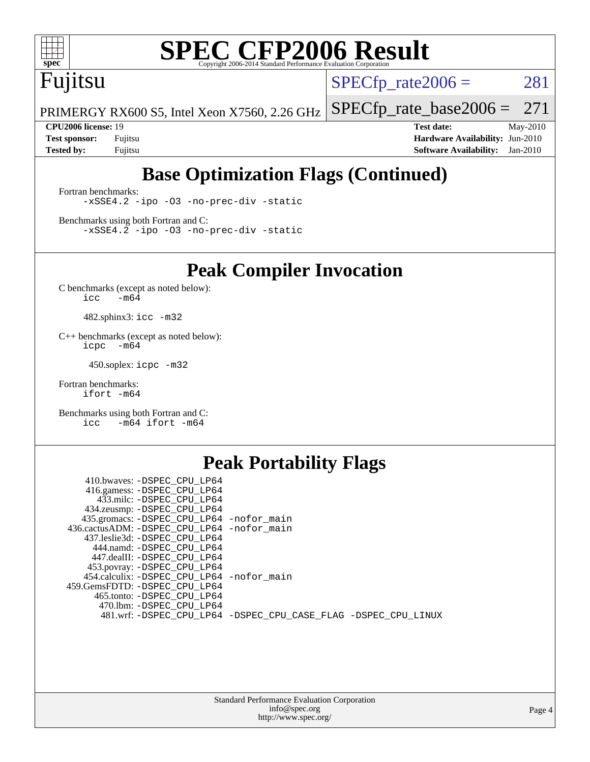

## **[SPEC CFP2006 Result](http://www.spec.org/auto/cpu2006/Docs/result-fields.html#SPECCFP2006Result)**

### Fujitsu

 $SPECTp_rate2006 = 281$ 

PRIMERGY RX600 S5, Intel Xeon X7560, 2.26 GHz [SPECfp\\_rate\\_base2006 =](http://www.spec.org/auto/cpu2006/Docs/result-fields.html#SPECfpratebase2006) 271

**[CPU2006 license:](http://www.spec.org/auto/cpu2006/Docs/result-fields.html#CPU2006license)** 19 **[Test date:](http://www.spec.org/auto/cpu2006/Docs/result-fields.html#Testdate)** May-2010 **[Test sponsor:](http://www.spec.org/auto/cpu2006/Docs/result-fields.html#Testsponsor)** Fujitsu **[Hardware Availability:](http://www.spec.org/auto/cpu2006/Docs/result-fields.html#HardwareAvailability)** Jun-2010 **[Tested by:](http://www.spec.org/auto/cpu2006/Docs/result-fields.html#Testedby)** Fujitsu **[Software Availability:](http://www.spec.org/auto/cpu2006/Docs/result-fields.html#SoftwareAvailability)** Jan-2010

### **[Base Optimization Flags \(Continued\)](http://www.spec.org/auto/cpu2006/Docs/result-fields.html#BaseOptimizationFlags)**

[Fortran benchmarks](http://www.spec.org/auto/cpu2006/Docs/result-fields.html#Fortranbenchmarks): [-xSSE4.2](http://www.spec.org/cpu2006/results/res2010q3/cpu2006-20100702-12040.flags.html#user_FCbase_f-xSSE42_f91528193cf0b216347adb8b939d4107) [-ipo](http://www.spec.org/cpu2006/results/res2010q3/cpu2006-20100702-12040.flags.html#user_FCbase_f-ipo) [-O3](http://www.spec.org/cpu2006/results/res2010q3/cpu2006-20100702-12040.flags.html#user_FCbase_f-O3) [-no-prec-div](http://www.spec.org/cpu2006/results/res2010q3/cpu2006-20100702-12040.flags.html#user_FCbase_f-no-prec-div) [-static](http://www.spec.org/cpu2006/results/res2010q3/cpu2006-20100702-12040.flags.html#user_FCbase_f-static)

[Benchmarks using both Fortran and C](http://www.spec.org/auto/cpu2006/Docs/result-fields.html#BenchmarksusingbothFortranandC): [-xSSE4.2](http://www.spec.org/cpu2006/results/res2010q3/cpu2006-20100702-12040.flags.html#user_CC_FCbase_f-xSSE42_f91528193cf0b216347adb8b939d4107) [-ipo](http://www.spec.org/cpu2006/results/res2010q3/cpu2006-20100702-12040.flags.html#user_CC_FCbase_f-ipo) [-O3](http://www.spec.org/cpu2006/results/res2010q3/cpu2006-20100702-12040.flags.html#user_CC_FCbase_f-O3) [-no-prec-div](http://www.spec.org/cpu2006/results/res2010q3/cpu2006-20100702-12040.flags.html#user_CC_FCbase_f-no-prec-div) [-static](http://www.spec.org/cpu2006/results/res2010q3/cpu2006-20100702-12040.flags.html#user_CC_FCbase_f-static)

**[Peak Compiler Invocation](http://www.spec.org/auto/cpu2006/Docs/result-fields.html#PeakCompilerInvocation)**

[C benchmarks \(except as noted below\)](http://www.spec.org/auto/cpu2006/Docs/result-fields.html#Cbenchmarksexceptasnotedbelow):  $\text{icc}$  -m64

482.sphinx3: [icc -m32](http://www.spec.org/cpu2006/results/res2010q3/cpu2006-20100702-12040.flags.html#user_peakCCLD482_sphinx3_intel_icc_32bit_a6a621f8d50482236b970c6ac5f55f93)

[C++ benchmarks \(except as noted below\):](http://www.spec.org/auto/cpu2006/Docs/result-fields.html#CXXbenchmarksexceptasnotedbelow) [icpc -m64](http://www.spec.org/cpu2006/results/res2010q3/cpu2006-20100702-12040.flags.html#user_CXXpeak_intel_icpc_64bit_bedb90c1146cab66620883ef4f41a67e)

450.soplex: [icpc -m32](http://www.spec.org/cpu2006/results/res2010q3/cpu2006-20100702-12040.flags.html#user_peakCXXLD450_soplex_intel_icpc_32bit_4e5a5ef1a53fd332b3c49e69c3330699)

[Fortran benchmarks](http://www.spec.org/auto/cpu2006/Docs/result-fields.html#Fortranbenchmarks): [ifort -m64](http://www.spec.org/cpu2006/results/res2010q3/cpu2006-20100702-12040.flags.html#user_FCpeak_intel_ifort_64bit_ee9d0fb25645d0210d97eb0527dcc06e)

[Benchmarks using both Fortran and C](http://www.spec.org/auto/cpu2006/Docs/result-fields.html#BenchmarksusingbothFortranandC): [icc -m64](http://www.spec.org/cpu2006/results/res2010q3/cpu2006-20100702-12040.flags.html#user_CC_FCpeak_intel_icc_64bit_0b7121f5ab7cfabee23d88897260401c) [ifort -m64](http://www.spec.org/cpu2006/results/res2010q3/cpu2006-20100702-12040.flags.html#user_CC_FCpeak_intel_ifort_64bit_ee9d0fb25645d0210d97eb0527dcc06e)

### **[Peak Portability Flags](http://www.spec.org/auto/cpu2006/Docs/result-fields.html#PeakPortabilityFlags)**

| 410.bwaves: -DSPEC CPU LP64                |                                                                |
|--------------------------------------------|----------------------------------------------------------------|
| 416.gamess: -DSPEC_CPU_LP64                |                                                                |
| 433.milc: -DSPEC CPU LP64                  |                                                                |
| 434.zeusmp: -DSPEC_CPU_LP64                |                                                                |
| 435.gromacs: -DSPEC_CPU_LP64 -nofor_main   |                                                                |
| 436.cactusADM: -DSPEC CPU LP64 -nofor main |                                                                |
| 437.leslie3d: -DSPEC CPU LP64              |                                                                |
| 444.namd: -DSPEC CPU LP64                  |                                                                |
| 447.dealII: -DSPEC CPU LP64                |                                                                |
| 453.povray: -DSPEC_CPU_LP64                |                                                                |
| 454.calculix: -DSPEC CPU LP64 -nofor main  |                                                                |
| 459.GemsFDTD: -DSPEC CPU LP64              |                                                                |
| 465.tonto: -DSPEC CPU LP64                 |                                                                |
| 470.1bm: - DSPEC CPU LP64                  |                                                                |
|                                            | 481.wrf: -DSPEC_CPU_LP64 -DSPEC_CPU_CASE_FLAG -DSPEC_CPU_LINUX |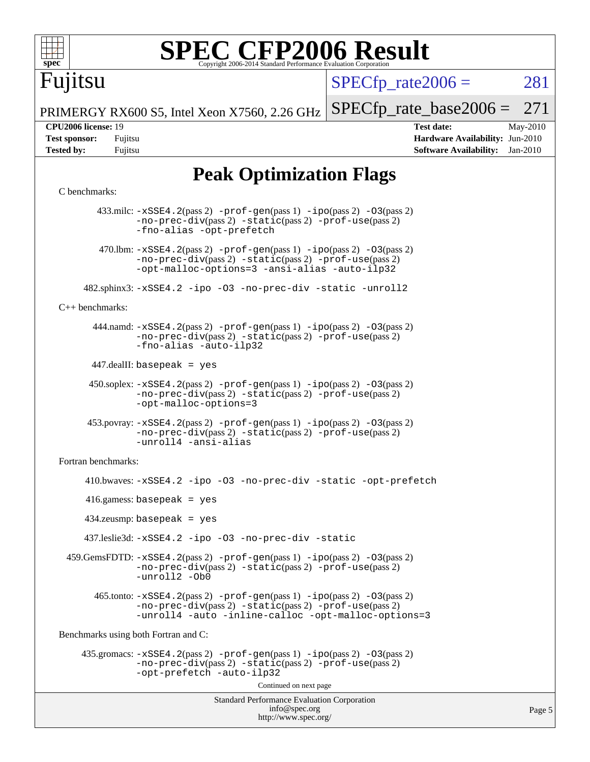

# **[SPEC CFP2006 Result](http://www.spec.org/auto/cpu2006/Docs/result-fields.html#SPECCFP2006Result)**

Fujitsu

 $SPECTp\_rate2006 = 281$ 

Page 5

PRIMERGY RX600 S5, Intel Xeon X7560, 2.26 GHz [SPECfp\\_rate\\_base2006 =](http://www.spec.org/auto/cpu2006/Docs/result-fields.html#SPECfpratebase2006) 271

**[CPU2006 license:](http://www.spec.org/auto/cpu2006/Docs/result-fields.html#CPU2006license)** 19 **[Test date:](http://www.spec.org/auto/cpu2006/Docs/result-fields.html#Testdate)** May-2010 **[Test sponsor:](http://www.spec.org/auto/cpu2006/Docs/result-fields.html#Testsponsor)** Fujitsu **[Hardware Availability:](http://www.spec.org/auto/cpu2006/Docs/result-fields.html#HardwareAvailability)** Jun-2010 **[Tested by:](http://www.spec.org/auto/cpu2006/Docs/result-fields.html#Testedby)** Fujitsu **[Software Availability:](http://www.spec.org/auto/cpu2006/Docs/result-fields.html#SoftwareAvailability)** Jan-2010

### **[Peak Optimization Flags](http://www.spec.org/auto/cpu2006/Docs/result-fields.html#PeakOptimizationFlags)**

### [C benchmarks](http://www.spec.org/auto/cpu2006/Docs/result-fields.html#Cbenchmarks):

Standard Performance Evaluation Corporation [info@spec.org](mailto:info@spec.org) <http://www.spec.org/> 433.milc: [-xSSE4.2](http://www.spec.org/cpu2006/results/res2010q3/cpu2006-20100702-12040.flags.html#user_peakPASS2_CFLAGSPASS2_LDFLAGS433_milc_f-xSSE42_f91528193cf0b216347adb8b939d4107)(pass 2) [-prof-gen](http://www.spec.org/cpu2006/results/res2010q3/cpu2006-20100702-12040.flags.html#user_peakPASS1_CFLAGSPASS1_LDFLAGS433_milc_prof_gen_e43856698f6ca7b7e442dfd80e94a8fc)(pass 1) [-ipo](http://www.spec.org/cpu2006/results/res2010q3/cpu2006-20100702-12040.flags.html#user_peakPASS2_CFLAGSPASS2_LDFLAGS433_milc_f-ipo)(pass 2) [-O3](http://www.spec.org/cpu2006/results/res2010q3/cpu2006-20100702-12040.flags.html#user_peakPASS2_CFLAGSPASS2_LDFLAGS433_milc_f-O3)(pass 2) [-no-prec-div](http://www.spec.org/cpu2006/results/res2010q3/cpu2006-20100702-12040.flags.html#user_peakPASS2_CFLAGSPASS2_LDFLAGS433_milc_f-no-prec-div)(pass 2) [-static](http://www.spec.org/cpu2006/results/res2010q3/cpu2006-20100702-12040.flags.html#user_peakPASS2_CFLAGSPASS2_LDFLAGS433_milc_f-static)(pass 2) [-prof-use](http://www.spec.org/cpu2006/results/res2010q3/cpu2006-20100702-12040.flags.html#user_peakPASS2_CFLAGSPASS2_LDFLAGS433_milc_prof_use_bccf7792157ff70d64e32fe3e1250b55)(pass 2) [-fno-alias](http://www.spec.org/cpu2006/results/res2010q3/cpu2006-20100702-12040.flags.html#user_peakOPTIMIZE433_milc_f-no-alias_694e77f6c5a51e658e82ccff53a9e63a) [-opt-prefetch](http://www.spec.org/cpu2006/results/res2010q3/cpu2006-20100702-12040.flags.html#user_peakOPTIMIZE433_milc_f-opt-prefetch) 470.1bm:  $-xSSE4$ . 2(pass 2)  $-prof-gen(pass 1) -ipo(pass 2) -O3(pass 2)$  $-prof-gen(pass 1) -ipo(pass 2) -O3(pass 2)$  $-prof-gen(pass 1) -ipo(pass 2) -O3(pass 2)$  $-prof-gen(pass 1) -ipo(pass 2) -O3(pass 2)$  $-prof-gen(pass 1) -ipo(pass 2) -O3(pass 2)$  $-prof-gen(pass 1) -ipo(pass 2) -O3(pass 2)$ [-no-prec-div](http://www.spec.org/cpu2006/results/res2010q3/cpu2006-20100702-12040.flags.html#user_peakPASS2_CFLAGSPASS2_LDFLAGS470_lbm_f-no-prec-div)(pass 2) [-static](http://www.spec.org/cpu2006/results/res2010q3/cpu2006-20100702-12040.flags.html#user_peakPASS2_CFLAGSPASS2_LDFLAGS470_lbm_f-static)(pass 2) [-prof-use](http://www.spec.org/cpu2006/results/res2010q3/cpu2006-20100702-12040.flags.html#user_peakPASS2_CFLAGSPASS2_LDFLAGS470_lbm_prof_use_bccf7792157ff70d64e32fe3e1250b55)(pass 2) [-opt-malloc-options=3](http://www.spec.org/cpu2006/results/res2010q3/cpu2006-20100702-12040.flags.html#user_peakOPTIMIZE470_lbm_f-opt-malloc-options_13ab9b803cf986b4ee62f0a5998c2238) [-ansi-alias](http://www.spec.org/cpu2006/results/res2010q3/cpu2006-20100702-12040.flags.html#user_peakOPTIMIZE470_lbm_f-ansi-alias) [-auto-ilp32](http://www.spec.org/cpu2006/results/res2010q3/cpu2006-20100702-12040.flags.html#user_peakCOPTIMIZE470_lbm_f-auto-ilp32) 482.sphinx3: [-xSSE4.2](http://www.spec.org/cpu2006/results/res2010q3/cpu2006-20100702-12040.flags.html#user_peakOPTIMIZE482_sphinx3_f-xSSE42_f91528193cf0b216347adb8b939d4107) [-ipo](http://www.spec.org/cpu2006/results/res2010q3/cpu2006-20100702-12040.flags.html#user_peakOPTIMIZE482_sphinx3_f-ipo) [-O3](http://www.spec.org/cpu2006/results/res2010q3/cpu2006-20100702-12040.flags.html#user_peakOPTIMIZE482_sphinx3_f-O3) [-no-prec-div](http://www.spec.org/cpu2006/results/res2010q3/cpu2006-20100702-12040.flags.html#user_peakOPTIMIZE482_sphinx3_f-no-prec-div) [-static](http://www.spec.org/cpu2006/results/res2010q3/cpu2006-20100702-12040.flags.html#user_peakOPTIMIZE482_sphinx3_f-static) [-unroll2](http://www.spec.org/cpu2006/results/res2010q3/cpu2006-20100702-12040.flags.html#user_peakCOPTIMIZE482_sphinx3_f-unroll_784dae83bebfb236979b41d2422d7ec2) [C++ benchmarks:](http://www.spec.org/auto/cpu2006/Docs/result-fields.html#CXXbenchmarks) 444.namd: [-xSSE4.2](http://www.spec.org/cpu2006/results/res2010q3/cpu2006-20100702-12040.flags.html#user_peakPASS2_CXXFLAGSPASS2_LDFLAGS444_namd_f-xSSE42_f91528193cf0b216347adb8b939d4107)(pass 2) [-prof-gen](http://www.spec.org/cpu2006/results/res2010q3/cpu2006-20100702-12040.flags.html#user_peakPASS1_CXXFLAGSPASS1_LDFLAGS444_namd_prof_gen_e43856698f6ca7b7e442dfd80e94a8fc)(pass 1) [-ipo](http://www.spec.org/cpu2006/results/res2010q3/cpu2006-20100702-12040.flags.html#user_peakPASS2_CXXFLAGSPASS2_LDFLAGS444_namd_f-ipo)(pass 2) [-O3](http://www.spec.org/cpu2006/results/res2010q3/cpu2006-20100702-12040.flags.html#user_peakPASS2_CXXFLAGSPASS2_LDFLAGS444_namd_f-O3)(pass 2) [-no-prec-div](http://www.spec.org/cpu2006/results/res2010q3/cpu2006-20100702-12040.flags.html#user_peakPASS2_CXXFLAGSPASS2_LDFLAGS444_namd_f-no-prec-div)(pass 2) [-static](http://www.spec.org/cpu2006/results/res2010q3/cpu2006-20100702-12040.flags.html#user_peakPASS2_CXXFLAGSPASS2_LDFLAGS444_namd_f-static)(pass 2) [-prof-use](http://www.spec.org/cpu2006/results/res2010q3/cpu2006-20100702-12040.flags.html#user_peakPASS2_CXXFLAGSPASS2_LDFLAGS444_namd_prof_use_bccf7792157ff70d64e32fe3e1250b55)(pass 2) [-fno-alias](http://www.spec.org/cpu2006/results/res2010q3/cpu2006-20100702-12040.flags.html#user_peakCXXOPTIMIZE444_namd_f-no-alias_694e77f6c5a51e658e82ccff53a9e63a) [-auto-ilp32](http://www.spec.org/cpu2006/results/res2010q3/cpu2006-20100702-12040.flags.html#user_peakCXXOPTIMIZE444_namd_f-auto-ilp32) 447.dealII: basepeak = yes 450.soplex: [-xSSE4.2](http://www.spec.org/cpu2006/results/res2010q3/cpu2006-20100702-12040.flags.html#user_peakPASS2_CXXFLAGSPASS2_LDFLAGS450_soplex_f-xSSE42_f91528193cf0b216347adb8b939d4107)(pass 2) [-prof-gen](http://www.spec.org/cpu2006/results/res2010q3/cpu2006-20100702-12040.flags.html#user_peakPASS1_CXXFLAGSPASS1_LDFLAGS450_soplex_prof_gen_e43856698f6ca7b7e442dfd80e94a8fc)(pass 1) [-ipo](http://www.spec.org/cpu2006/results/res2010q3/cpu2006-20100702-12040.flags.html#user_peakPASS2_CXXFLAGSPASS2_LDFLAGS450_soplex_f-ipo)(pass 2) [-O3](http://www.spec.org/cpu2006/results/res2010q3/cpu2006-20100702-12040.flags.html#user_peakPASS2_CXXFLAGSPASS2_LDFLAGS450_soplex_f-O3)(pass 2) [-no-prec-div](http://www.spec.org/cpu2006/results/res2010q3/cpu2006-20100702-12040.flags.html#user_peakPASS2_CXXFLAGSPASS2_LDFLAGS450_soplex_f-no-prec-div)(pass 2) [-static](http://www.spec.org/cpu2006/results/res2010q3/cpu2006-20100702-12040.flags.html#user_peakPASS2_CXXFLAGSPASS2_LDFLAGS450_soplex_f-static)(pass 2) [-prof-use](http://www.spec.org/cpu2006/results/res2010q3/cpu2006-20100702-12040.flags.html#user_peakPASS2_CXXFLAGSPASS2_LDFLAGS450_soplex_prof_use_bccf7792157ff70d64e32fe3e1250b55)(pass 2) [-opt-malloc-options=3](http://www.spec.org/cpu2006/results/res2010q3/cpu2006-20100702-12040.flags.html#user_peakOPTIMIZE450_soplex_f-opt-malloc-options_13ab9b803cf986b4ee62f0a5998c2238) 453.povray: [-xSSE4.2](http://www.spec.org/cpu2006/results/res2010q3/cpu2006-20100702-12040.flags.html#user_peakPASS2_CXXFLAGSPASS2_LDFLAGS453_povray_f-xSSE42_f91528193cf0b216347adb8b939d4107)(pass 2) [-prof-gen](http://www.spec.org/cpu2006/results/res2010q3/cpu2006-20100702-12040.flags.html#user_peakPASS1_CXXFLAGSPASS1_LDFLAGS453_povray_prof_gen_e43856698f6ca7b7e442dfd80e94a8fc)(pass 1) [-ipo](http://www.spec.org/cpu2006/results/res2010q3/cpu2006-20100702-12040.flags.html#user_peakPASS2_CXXFLAGSPASS2_LDFLAGS453_povray_f-ipo)(pass 2) [-O3](http://www.spec.org/cpu2006/results/res2010q3/cpu2006-20100702-12040.flags.html#user_peakPASS2_CXXFLAGSPASS2_LDFLAGS453_povray_f-O3)(pass 2) [-no-prec-div](http://www.spec.org/cpu2006/results/res2010q3/cpu2006-20100702-12040.flags.html#user_peakPASS2_CXXFLAGSPASS2_LDFLAGS453_povray_f-no-prec-div)(pass 2) [-static](http://www.spec.org/cpu2006/results/res2010q3/cpu2006-20100702-12040.flags.html#user_peakPASS2_CXXFLAGSPASS2_LDFLAGS453_povray_f-static)(pass 2) [-prof-use](http://www.spec.org/cpu2006/results/res2010q3/cpu2006-20100702-12040.flags.html#user_peakPASS2_CXXFLAGSPASS2_LDFLAGS453_povray_prof_use_bccf7792157ff70d64e32fe3e1250b55)(pass 2) [-unroll4](http://www.spec.org/cpu2006/results/res2010q3/cpu2006-20100702-12040.flags.html#user_peakCXXOPTIMIZE453_povray_f-unroll_4e5e4ed65b7fd20bdcd365bec371b81f) [-ansi-alias](http://www.spec.org/cpu2006/results/res2010q3/cpu2006-20100702-12040.flags.html#user_peakCXXOPTIMIZE453_povray_f-ansi-alias) [Fortran benchmarks](http://www.spec.org/auto/cpu2006/Docs/result-fields.html#Fortranbenchmarks): 410.bwaves: [-xSSE4.2](http://www.spec.org/cpu2006/results/res2010q3/cpu2006-20100702-12040.flags.html#user_peakOPTIMIZE410_bwaves_f-xSSE42_f91528193cf0b216347adb8b939d4107) [-ipo](http://www.spec.org/cpu2006/results/res2010q3/cpu2006-20100702-12040.flags.html#user_peakOPTIMIZE410_bwaves_f-ipo) [-O3](http://www.spec.org/cpu2006/results/res2010q3/cpu2006-20100702-12040.flags.html#user_peakOPTIMIZE410_bwaves_f-O3) [-no-prec-div](http://www.spec.org/cpu2006/results/res2010q3/cpu2006-20100702-12040.flags.html#user_peakOPTIMIZE410_bwaves_f-no-prec-div) [-static](http://www.spec.org/cpu2006/results/res2010q3/cpu2006-20100702-12040.flags.html#user_peakOPTIMIZE410_bwaves_f-static) [-opt-prefetch](http://www.spec.org/cpu2006/results/res2010q3/cpu2006-20100702-12040.flags.html#user_peakOPTIMIZE410_bwaves_f-opt-prefetch) 416.gamess: basepeak = yes 434.zeusmp: basepeak = yes 437.leslie3d: [-xSSE4.2](http://www.spec.org/cpu2006/results/res2010q3/cpu2006-20100702-12040.flags.html#user_peakOPTIMIZE437_leslie3d_f-xSSE42_f91528193cf0b216347adb8b939d4107) [-ipo](http://www.spec.org/cpu2006/results/res2010q3/cpu2006-20100702-12040.flags.html#user_peakOPTIMIZE437_leslie3d_f-ipo) [-O3](http://www.spec.org/cpu2006/results/res2010q3/cpu2006-20100702-12040.flags.html#user_peakOPTIMIZE437_leslie3d_f-O3) [-no-prec-div](http://www.spec.org/cpu2006/results/res2010q3/cpu2006-20100702-12040.flags.html#user_peakOPTIMIZE437_leslie3d_f-no-prec-div) [-static](http://www.spec.org/cpu2006/results/res2010q3/cpu2006-20100702-12040.flags.html#user_peakOPTIMIZE437_leslie3d_f-static) 459.GemsFDTD: [-xSSE4.2](http://www.spec.org/cpu2006/results/res2010q3/cpu2006-20100702-12040.flags.html#user_peakPASS2_FFLAGSPASS2_LDFLAGS459_GemsFDTD_f-xSSE42_f91528193cf0b216347adb8b939d4107)(pass 2) [-prof-gen](http://www.spec.org/cpu2006/results/res2010q3/cpu2006-20100702-12040.flags.html#user_peakPASS1_FFLAGSPASS1_LDFLAGS459_GemsFDTD_prof_gen_e43856698f6ca7b7e442dfd80e94a8fc)(pass 1) [-ipo](http://www.spec.org/cpu2006/results/res2010q3/cpu2006-20100702-12040.flags.html#user_peakPASS2_FFLAGSPASS2_LDFLAGS459_GemsFDTD_f-ipo)(pass 2) [-O3](http://www.spec.org/cpu2006/results/res2010q3/cpu2006-20100702-12040.flags.html#user_peakPASS2_FFLAGSPASS2_LDFLAGS459_GemsFDTD_f-O3)(pass 2) [-no-prec-div](http://www.spec.org/cpu2006/results/res2010q3/cpu2006-20100702-12040.flags.html#user_peakPASS2_FFLAGSPASS2_LDFLAGS459_GemsFDTD_f-no-prec-div)(pass 2) [-static](http://www.spec.org/cpu2006/results/res2010q3/cpu2006-20100702-12040.flags.html#user_peakPASS2_FFLAGSPASS2_LDFLAGS459_GemsFDTD_f-static)(pass 2) [-prof-use](http://www.spec.org/cpu2006/results/res2010q3/cpu2006-20100702-12040.flags.html#user_peakPASS2_FFLAGSPASS2_LDFLAGS459_GemsFDTD_prof_use_bccf7792157ff70d64e32fe3e1250b55)(pass 2) [-unroll2](http://www.spec.org/cpu2006/results/res2010q3/cpu2006-20100702-12040.flags.html#user_peakOPTIMIZE459_GemsFDTD_f-unroll_784dae83bebfb236979b41d2422d7ec2) [-Ob0](http://www.spec.org/cpu2006/results/res2010q3/cpu2006-20100702-12040.flags.html#user_peakOPTIMIZE459_GemsFDTD_f-Ob_n_fbe6f6428adb7d4b74b1e99bb2444c2d)  $465$ .tonto:  $-xSSE4$ .  $2(pass 2)$  [-prof-gen](http://www.spec.org/cpu2006/results/res2010q3/cpu2006-20100702-12040.flags.html#user_peakPASS1_FFLAGSPASS1_LDFLAGS465_tonto_prof_gen_e43856698f6ca7b7e442dfd80e94a8fc)(pass 1) [-ipo](http://www.spec.org/cpu2006/results/res2010q3/cpu2006-20100702-12040.flags.html#user_peakPASS2_FFLAGSPASS2_LDFLAGS465_tonto_f-ipo)(pass 2) -03(pass 2) [-no-prec-div](http://www.spec.org/cpu2006/results/res2010q3/cpu2006-20100702-12040.flags.html#user_peakPASS2_FFLAGSPASS2_LDFLAGS465_tonto_f-no-prec-div)(pass 2) [-static](http://www.spec.org/cpu2006/results/res2010q3/cpu2006-20100702-12040.flags.html#user_peakPASS2_FFLAGSPASS2_LDFLAGS465_tonto_f-static)(pass 2) [-prof-use](http://www.spec.org/cpu2006/results/res2010q3/cpu2006-20100702-12040.flags.html#user_peakPASS2_FFLAGSPASS2_LDFLAGS465_tonto_prof_use_bccf7792157ff70d64e32fe3e1250b55)(pass 2) [-unroll4](http://www.spec.org/cpu2006/results/res2010q3/cpu2006-20100702-12040.flags.html#user_peakOPTIMIZE465_tonto_f-unroll_4e5e4ed65b7fd20bdcd365bec371b81f) [-auto](http://www.spec.org/cpu2006/results/res2010q3/cpu2006-20100702-12040.flags.html#user_peakOPTIMIZE465_tonto_f-auto) [-inline-calloc](http://www.spec.org/cpu2006/results/res2010q3/cpu2006-20100702-12040.flags.html#user_peakOPTIMIZE465_tonto_f-inline-calloc) [-opt-malloc-options=3](http://www.spec.org/cpu2006/results/res2010q3/cpu2006-20100702-12040.flags.html#user_peakOPTIMIZE465_tonto_f-opt-malloc-options_13ab9b803cf986b4ee62f0a5998c2238) [Benchmarks using both Fortran and C](http://www.spec.org/auto/cpu2006/Docs/result-fields.html#BenchmarksusingbothFortranandC): 435.gromacs: [-xSSE4.2](http://www.spec.org/cpu2006/results/res2010q3/cpu2006-20100702-12040.flags.html#user_peakPASS2_CFLAGSPASS2_FFLAGSPASS2_LDFLAGS435_gromacs_f-xSSE42_f91528193cf0b216347adb8b939d4107)(pass 2) [-prof-gen](http://www.spec.org/cpu2006/results/res2010q3/cpu2006-20100702-12040.flags.html#user_peakPASS1_CFLAGSPASS1_FFLAGSPASS1_LDFLAGS435_gromacs_prof_gen_e43856698f6ca7b7e442dfd80e94a8fc)(pass 1) [-ipo](http://www.spec.org/cpu2006/results/res2010q3/cpu2006-20100702-12040.flags.html#user_peakPASS2_CFLAGSPASS2_FFLAGSPASS2_LDFLAGS435_gromacs_f-ipo)(pass 2) [-O3](http://www.spec.org/cpu2006/results/res2010q3/cpu2006-20100702-12040.flags.html#user_peakPASS2_CFLAGSPASS2_FFLAGSPASS2_LDFLAGS435_gromacs_f-O3)(pass 2) [-no-prec-div](http://www.spec.org/cpu2006/results/res2010q3/cpu2006-20100702-12040.flags.html#user_peakPASS2_CFLAGSPASS2_FFLAGSPASS2_LDFLAGS435_gromacs_f-no-prec-div)(pass 2) [-static](http://www.spec.org/cpu2006/results/res2010q3/cpu2006-20100702-12040.flags.html#user_peakPASS2_CFLAGSPASS2_FFLAGSPASS2_LDFLAGS435_gromacs_f-static)(pass 2) [-prof-use](http://www.spec.org/cpu2006/results/res2010q3/cpu2006-20100702-12040.flags.html#user_peakPASS2_CFLAGSPASS2_FFLAGSPASS2_LDFLAGS435_gromacs_prof_use_bccf7792157ff70d64e32fe3e1250b55)(pass 2) [-opt-prefetch](http://www.spec.org/cpu2006/results/res2010q3/cpu2006-20100702-12040.flags.html#user_peakOPTIMIZE435_gromacs_f-opt-prefetch) [-auto-ilp32](http://www.spec.org/cpu2006/results/res2010q3/cpu2006-20100702-12040.flags.html#user_peakCOPTIMIZE435_gromacs_f-auto-ilp32) Continued on next page